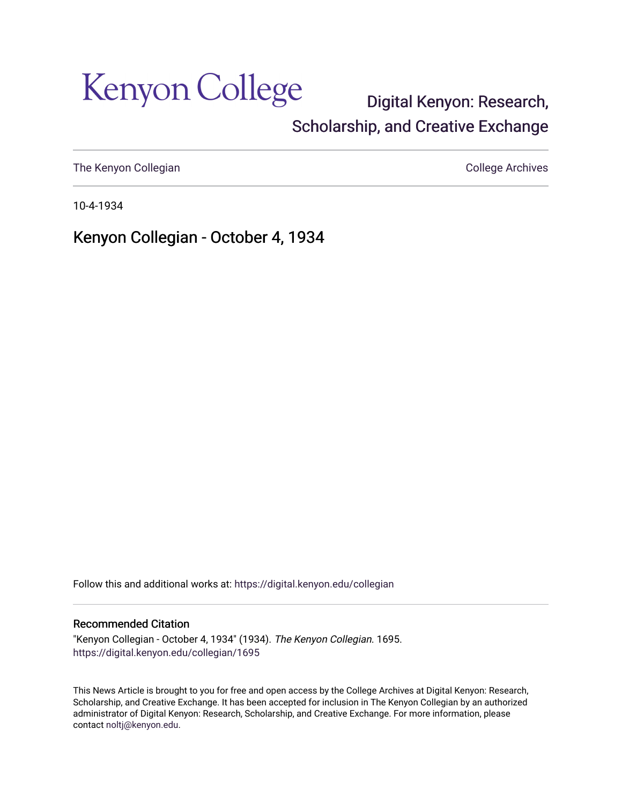## Kenyon College

## [Digital Kenyon: Research,](https://digital.kenyon.edu/)  [Scholarship, and Creative Exchange](https://digital.kenyon.edu/)

[The Kenyon Collegian](https://digital.kenyon.edu/collegian) Collegian Collegian Collegian Collegian Collegian Collegian Collegian Collegian Collegian

10-4-1934

Kenyon Collegian - October 4, 1934

Follow this and additional works at: [https://digital.kenyon.edu/collegian](https://digital.kenyon.edu/collegian?utm_source=digital.kenyon.edu%2Fcollegian%2F1695&utm_medium=PDF&utm_campaign=PDFCoverPages) 

#### Recommended Citation

"Kenyon Collegian - October 4, 1934" (1934). The Kenyon Collegian. 1695. [https://digital.kenyon.edu/collegian/1695](https://digital.kenyon.edu/collegian/1695?utm_source=digital.kenyon.edu%2Fcollegian%2F1695&utm_medium=PDF&utm_campaign=PDFCoverPages) 

This News Article is brought to you for free and open access by the College Archives at Digital Kenyon: Research, Scholarship, and Creative Exchange. It has been accepted for inclusion in The Kenyon Collegian by an authorized administrator of Digital Kenyon: Research, Scholarship, and Creative Exchange. For more information, please contact [noltj@kenyon.edu.](mailto:noltj@kenyon.edu)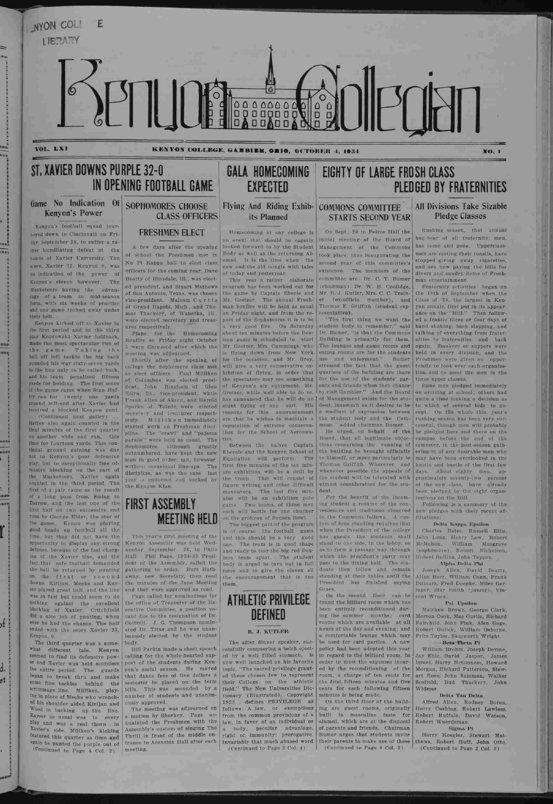Kenyon's Power

Kenyon kicked off to Xavier in the first period and on the third play Koprowski Xavier halfback, made the most spectacular run of the game. Taking the ball off left tackle the big back pounded his way sixty-seven yards to the line only to be called back, and his team penalized fifteen yards for holding. The first score of the game came when Stan Haffey ran for twenty one yards around left-end after Xavier had received a blocked Kenyon punt. (Continued next galley) Haffey also again counted in the final minutes of the first quarter on another wide end run, this time for fourteen yards. This continual ground gaining was due not to Kenyon's poor defensive play, but to exceptionally fine offensive blocking on the part of the Musketeers. Xavier again counted in the third period. The first of <sup>a</sup> pair came as the result of <sup>a</sup> long pass from Smieg to Darrow, and the last one of the first half on two successive end runs by George Elder, the star of the game. Kenon was playing good heads up football all the time, hut they did not have the opportunity to display any strong defense, because of the fast charging of the Xavier line, and the fact that safe football demanded dent of the Assembly, called the the ball be returned by punting on the first or second downs. Kirijan, Meeks and Kayplayed great ball, and the line and they were approved as read. was in fast but could seem to do nothing against the excellent the office of Treasurer of the Ex-

Kenyon's football squad journeyed down to Cincinnati on Friday, September 2S, to suffer a rather humiliating defeat at the hands of Xavier University. The score, Xavier 32, Kenyon 0, was no indication of the power of Kenyon's eleven however. The Musketeers having the advanttage of a team in mid-season form, with six weeks of practice and one game tucked away under their belt.

moters

stars 15111181

> ever he had the chance. The half ended with the score Xavier 25, Kenyon, 0.

## ST. XAVIER DOWNS PURPLE 32-0 IN OPENING FOOTBALL GAME Game No Indication Of SOPHOMORES CHOOSE

blocking of Xaxier. Critchfield ecutive Committee, a position va Page called for nominations for

> The meeting was adjourned on a motion by Shorkey. Page acquainted the Freshmen with the Assembly's custom of singing The Thrill in front of the middle entrance to Acension Hall after each meeting.

# CLASS OFFICERS

#### FRESHMEN ELECT

<sup>A</sup> few days after the opening of school the Freshmen met in Nu Pi Kappa hall to elect class officers for the coming year. Dave Beatty of Hinsdale, 111., was elected president, and Stuart Mathews of San Antonio, Texas, was chosen vice-president. Malcom Curtis of Grand Rapids, Mich., and Thomas Thackery, of Wanetka, 111., were elected secretary and treasurer respectively.

Plans for the Homecoming Bonfire on Friday night October 5 were discussed after which the Mr. Gretzer, Mrs. Cummings. who meeting was adjourned.

did a nice job of punting, when cant due to the resignation of Dr. Cottrell. J. G. Thompson nominated Dr. Titus and he was unanimously elected by the student

The third quarter was a somewhat different tale. Kenyon seemed to find its defensive power and Xavier was held scoreless the entire period. The guards hegan to break thru and make some fine tackles behind the scrimmage line. Milliken, playing in place of Meeks who wrenched his shoulder aided Kirijan and Wood in backing up the line. Kayser as usual was in every play and was a real thorn in Xavier's side. Miliken's kicking featured this quarter as time and again he punted the purple out of (Continued to Page <sup>4</sup> Col. 2) body.

Shortly after the opening of college the Sophomore class met will give a very conservative exto elect officers. Paul Milliken of Columbus was elected president,. John Bingham of Glen Eliyn, Ill., vice-president, while Frank Allen of Akrcn, and Harold Sparks, of Toledo, were elected yecre'wiy and trent-ure- <sup>r</sup> respectively. Milliken immediately started work on Freshman discipline. The "crawl" and "pajama parade" were held as usual. The<br>Sophomores, although greatly Sophomores, although greatly outnumbered, have kept the new men in good Older, not, however without occasional line-ups. The discipline, as was the case last year is endorsed and backed by the Kenyon Klan.

## FIRST ASSEMBLY MEETING HELD

This year's first meeting of the Kenyon Assembly was held Wednesday, September 26, in Philo Hall. Phil Page, 1934-35 Presigathering to order. Burt Hathaway, new Secretary, then read the minutes of the June Meeting

> The after dinner speaker, sucbe used for card parties. A new policy had been adopted this year in regard to the billiard room. In order to meet the expenses incured by the reconditioning of the room, a charge of ten cents for the first fifteen minutes and five cents for each following fifteen

GALA HOMECOMING

EXPECTED

#### **NYON COL'** E LIBRARY



### Flying And Riding Exhib its Planned

Homecoming at any college is looked forward to by the Student Management of the Common Body as well as the returning Alumni. It is the time when the new and the old mingle with tales of today and yesteryear.

This year <sup>a</sup> rather elaborate program has been worked out for the game by Captain Eberle and Mr. Gretzer. The annual Freshman bonfire will be held as usual on Friday night, and from the report of the Sophomores it is to be a very good fire. On Saturday about ten minutes before the Denison game is scheduled to start is flying down from New York for the occasion, and Mr. Grey, hibition of flying, in order that the spectators may see something of Kenyon's air equipment. Mr. Gretzer, while well able to do so, stunt flying of any sort. His reasons for this announcement are that he wishes to maintain a reputation of extreme conservatism for the School of Aeronautics.

has announced that he will do no of Management exists for the stu- quite a time making a decision as Some men pledged immediately on arriving at school; others had to which of several bids to accept. On the whole this year's rushing season has been very successful, though men will probably be pledged here and there on the campus before the end of the semester, in the post-season gathering-in of any desirable men who may have been overlooked in the hustle and bustle of the first few days. About eighty men, approximately seventy-two percent of the new class, have already been pledged by the eight organizations on the Hill.

Bill Parkin made a short speech calling for the whole-hearted support of the students during Kenyon's social season. He moved that dance fees of five dollars <sup>a</sup> semester be placed on the term bills. This was seconded by a number of students and unanimously approved. cessfully conquering a belch ejected by a well filled stomach, is now well launched on his favorite topic, "The sacred privilege granted these chosen few to represent their College on the athletic field." The New Universities Dic-

Israel, Harry McGinness, Howard Morgan, Richard Patterson, Stewart Rose, John Sammon, Walker Scofield; Bud Thackery, John Widmer.

their parents to make use of these thews, Robert Huff, John Otto, Harry Koegler, Stewart Mat-(Continued to Page 2. Col. 3)

Between the halves Captain Eberele and the Kenyon School of the building be brought officially Equitation will perform. The first five minutes of the ten minute exhibition will be a drill by the troop. This will consist of figure writing and other difficult maneuvers. The last five minutes will be an exhibition polo game. Two teams, of three men each will battle for one chucker on the gridiron of Benson Bowl.

an event that should be eagerly initial meeting of the Board of On Sept., 20 in Peirce Hall the took place, thus inaugurating the second year of this committee's<br>existence. The members of the The members of the committee are: Dr. C. T. Burner (chairman), Dr. W. H. Coolidge, Mr. R. J. Kutler, Mrs. C. C. Train-<br>er (ex-officio member), and (ex-officio member), and Thomas E. Griffith (student representative).

The biggest part of the program is of course the football game and this should be a very good<br>one. The team is in good shape The team is in good shape and ready to tear the big red Denteam apart. The student body is urged to turn out in full force and to give the eleven all the encouragement that is due them.

ATHLETIC PRIVILEGE



(Continued to Page <sup>2</sup> Col. 4)

EIGHTY OF LARGE FROSH CLASS

PLEDGED BY FRATERNITIES

#### COMMONS COMMITTEE STARTS SECOND YEAR

"The first thing we want the student body to remember," said Dr. Bumer, "is that the Commons Building is primarily for them. The lounges and game rooms and eating rooms are for the students use and enjoyment." Burner stressed the fact that the guest quarters of the building are there for the use of the students' parents and friends when they chance to visit Gambier." And the Board dent, inasmuch as it desires to be a medium of expression between the student body and the Commons," added chairman Burner.

tionary (Illustrated), Copyright minutes is being made.

1923 , defines PRIVILEGE as follows: <sup>A</sup> law, or exemptions from the common provisions of a built in masculine taste for law, in favor of an individual or a body; peculiar advantage, right or. immunity; prerogative, Invariably that much abused word On the third floor of the building are guest rooms, originally alumni, which are at the disposal of parents and friends. Chairman Burner urges that students invite (Continued to Page <sup>4</sup> Col. 3)

He urged, on behalf of the Board, that all legitimate objections concerning the running of to himself, or more particularly to Thomas Griffith. Wherever and whenever possible the appeals of the student will be tolerated with utmost consideration for the student.

For the benefit of the incoming student a resume of the conveniences and traditions observed in the Commons follows. A custom of long standing requires that when the President of the college has guests, the students shall stand to one side, in the lobby, so as to form a passage way through which the president's party may pass to the dining hall. The students then follow and remain standing at their tables until the President has finished saying Ditmars, Fred Doepke, Miles Ger-Grace.

On the second floor can be found the billiard room which has been entirely reconditioned dur-

#### All Divisions Take Sizable Pledge Classes

Rushing season, that annual bug-bear of all fraternity, men, has come and gone. Upperclassmen are resting their tonsils, have stopped giving away cigarettes, and are now paying the bills for divers and sundry items of Freshman entertainment.

Fraternity activities began on the lSth of September when the Class of '3S, the largest in Kenyon annals, first put in its appearance on the "Hill." Then followed a frantic three or four days of hand shaking, back slapping, and talking of everything from fraternities to fraternities and back again. Smokers or suppers were held in every division, and the Freshmen were given an opportunity to look over each organization and to meet the men in the three upper classes.

ing the summer months; card Morton Cook, Mac Curtis, Richard rooms which are available at all Fairchild, John Fink, Alen Gage hours of the day and evening; and Robert Gulick, William Osborne, a comfortable lounge which may Fritz Taylor, Skipworth Wright.

Following is a summary of the new pledges with their recent affiliations:

#### Delta Kappa Epsilon

Charles Bates, Russell Ellis, John Long, Henry Low, Robert<br>McMahon, William Musgrave William Musgrave (sophomore), Robert Nicholson, Robert Rollins, John Tappan.

#### Alpha Delta Ihi

Joseph Allen, David Beatty, Allen Burr, William Cann, Frank Inger, Star Smith (junior), Vincent Wruek.

Psi Upsilon-

Betw Theta Pi

Matthew Brown, George Clark,



gt

William Brehm, Joseph Devine,

Jay Ehle, David: Jaspar, James

#### Delta Tau Delta

Alfred: Allen, Rodney Boren, Harry Cushing, Robert Lawless, Robert Ruffalo, David Watson, Robert Wuerdeman.

#### Sigma Pi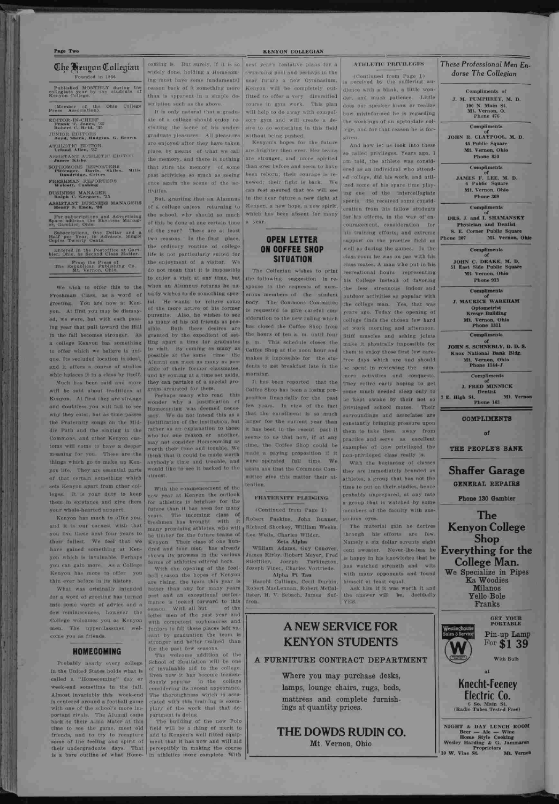#### Page Two

## Che **Ge**nyon Collegian Founded in 1856 Published MONTHLY during the<br>collegiate year by the students of<br>Kenyon College. (Member of the Ohio College EDITOR-IN-CHIEF<br>Frank T. Jones, 785<br>Robert C. Reid, 735 HINIOR EDITORS<br>Boyd, Sherk, Hudgins, G. Brown ATHLETIC EDITOR **ASSISTANT ATHLETIC EDITOR** SOPHOMORE REPORTERS<br>Pittenger, Davis, Skiles, Mills<br>Dandridge, Grives FRESHMAN REPORTERS BUSINESS MANAGER<br>Ralph C. Gregory, 35 ASSISTANT BUSINESS MANAGERS For subscriptions and Advertising<br>Space address the Business Manager, Gambier, Ohio, Subscriptions, One Dollar and a<br>Half per Year, in Advance, Single<br>Copies Twenty Cents. Entered in the Postoffice at Game bier, Ohio, as Second Class Matter. From the Press of<br>The Republican Publishing Co.<br>Mt. Vernon, Ohio.

We wish to offer this to the Freshman Class, as a word of You are now at Kengreating. At first you may be dismayed we were, but with each pass-Ing year that pull toward the Hill In the fall becomes stronger.  $A$ a college Kenyon has something to offer which we believe is unique. Its secluded location is ideal. and it offers a course of studies whic hplaces it in a class by itself.

Much has been said and more will be said about traditions at Kenvon. At first they are strange and doubtless you will fail to see why they exist, but as time passes the Fraternity songs on the Midand the singing in the dle a deeper aresthe which go to make up Ken-They are essential parts of that certain something which sets Kenyon apart from other col-It is your duty to keep leges them in existance and give them your whole-hearted support

Kenyon has much to offer you and it is our earnest wish that you live these next four years to We feel that we their fullest. have gained something at Kenvon which is invaluable. Perhaps von can esin more. As a College Kenyon has more to offer thin ever before In Its history,

What was originally intended for a word of greeting has turned into some words of advice and a few reminiscences, however the College welcomes you as Kenyon men. The upperclassmen welcome you as friends.

coming is. But surely, if it is so widely done, holding a Homecoming must have some fundamental reason back of it something more than is apparent in a simple de scription such as the above It is only natural that a gradu-

ate of a college should enjoy re visiting the scene of his undergraduate pleasures. All pleasures are enjoyed after they have taken place, by means of what we call the memory, and there is nothing that stirs the memory of some past activities so much as seeing once again the scene of the ac-Hyitias.

But, granting that an Alumnus of a college enjoys returning to the school, why should so much of this he done at one certain time of the year? There are at least two reasons. In the first place the ordinary routine of college life is not particularly suited for the enjoyment of a visitor. We do not mean that it is impossible to enjoy a visit at any time, but when an Alumnus returns he usually wishes to do something spec-He wants to relieve some tal of the more active of his former pursuits. Also, he wishes to see as many of his old friends as possible. Both these desires are granted by the expedient of setting apart a time for graduates to visit. By coming as many as possible at the same time the AlumnI orn meet as many as nossible of their former classmates, and by coming at a time set aside, they can partake of a special program arranged for them.

Perhaps many who read this wonder why a justification of Homecoming was deemed neces-We do not intend this as a sary. justification of the institution, but rather as an explanation to those who for one reason or another, may not consider Homecoming as worth their time and trouble. We think that it could be made worth anyhody's time and trouble, and would like to see it backed to the utmost.

With the commencement of the new year at Kenyon the outlook for athletics is brighter for the future than it has been for many The incoming class of years. treshmen has brought with -it many promising athletes, who will be timber for the future teams of Kenyon. Their class of one hundred and four men has already shown its prowess in the various forms of athletics offered here.

With the opening of the football season the hopes of Kenyon are rising, the team this year is hetter than any for many years past and an exceptional performance is looked forward to this season. With all but of the letter men of the past year and with competent sophomores and juniors to fill these places left vacant by graduation the team is stronger and better trained than for the past few seasons. The welcome addition of the School of Equitation will be one of invaluable aid to the college. Even now it has become tremendously popular in the college considering its recent appearance. clated with this training is exemplary of the work that that department is doing.

#### **KENYON COLLEGIAN**

next year's tentative plans for a swimming pool and perhaps in the Gymnasium. near future a new Kenvon will completely outfitted to offer a very diversified This plan work will help to do away with comput sory gym and will create a de sire to do something in this field without being nushed

Kenyon's hopes for the future are brighter then ever. Her teams are stronger, and more spirited than ever before and seem to have been reborn; their courage is re newed: their fight is back. can rest assured that we will see in the near future a new fight at Kenyon, a new hope, a new spirit, which has been absent for many а уеат

#### **OPEN LETTER ON COFFEE SHOP SITUATION**

The Collegian wishes to print the following suggestion in response to the requests of numerous members of the student The Commons Committee body is requested to give careful consideration to the new ruling which has closed the Coffee Shop from the hours of ten a m, until four This schedule closes the p. m. Coffee Shop at the noon hour and makes it impossible for the students to get breakfast late in the morning

It has been reported that the Coffee Shop has been a losing proposition financially for the **D**ast few the Taet that the enrollment Innger for the past it it has been in the recent. seems to us that now, if at any time. the Coffee Shop could be made a paying proposition if it were operated full time. We again ask that the Commons Committee give this matter their attention.

#### FRATERNITY PLEDGING

(Continued from Page 1)

Robert Paskins, John Runner, Richard Shorkey, William Weeks, Lee Wells, Charles Wilder.

Zeta Alpha William Adams, Guy Conover, James Kirby, Robert Meyer, Fred Stieffiler, Joseph Tarkington, Joseph Viner, Charles Vortriede. Alpha Pi Tau

Harold Cullings, Cecil Durbin, Robert MacLennan, Robert McCallister, H. V. Sebach, James Suffron.

#### **ATHLETIC PRIVILEGES**

(Continued from Page 1) received by the suffering audience with a blink, a little wonder, and much patience. Little does our speaker know or realize how misinformed he is regarding the workings of an up-to-date college, and for that reason he is forgiven

And now let us look into these so called privileges. Years ago, I am told, the athlete was considared as an Individual who attended college, did his work, and utilized some of his spare time playintercollegiate ing one of the **SDOPIN** He received some consideration from his fellow students for his efforts, in the way of encouragement, consideration for his training efforts, and extreme support on the practice field as well as during the games. In the class room he was on par with his class mates. A man who put in his recreational hours representing his College instead of favoring the less strenuous indoor and outdoor activities so popular with the college man. Yes, that was years ago. Today the opening of college finds the chosen few hard at work morning and afternoon. Stiff muscles and aching joints make it physically impossible for them to enfoy those first few carefree days which are and should be spent in reviewing the sumand conquests. mers activities They retire early hoping to get some much needed sleep only to kept awake by their not so privileged school mates. Their surroundings and associates are constantly bringing pressure upon them to lake them. from away. excellent practice and serve 項目 examples of how privileged the non-privileged class really is.

With the beginning of classes are immediately branded as athletes, a group that has not the time to put on their studies, hence probably unprepared, at any rate a group that is watched by some members of the faculty with suspicious eyes.

The material gain he derives through his efforts are few Namely a six dollar seventy eight cent sweater. Never-the-less he is happy in his knowledge that he has watched strength and wits with many opponents and found himself it least equal.

Ask him if it was worth it and the answer will be, decidedly YES.

#### These Professional Men Endorse The Collegian

Compliments of J. M. PUMPHREY, M. D. 100 N. Main St.<br>Mt. Vernon, O.<br>Phone 476 Compliments

JOHN R. CLAYPOOL, M. D. 45 Public Square Mt. Vernon, Ohio Phone 830

> **Compliments** of JAMES F. LEE, M. D. 4 Public Square Mt. Vernon, Ohio Phone 309

**Compliments** DRS. J. and I. SHAMANSKY Physician and Dentist S. E. Corner Public Square Phone 207 Mt. Vernon, Ohio

**Compliments** JOHN C. DRAKE, M. D.<br>51 East Side Public Square Mt. Vernon, Ohio Phone 933

**Compliments J. MAURICE WAREHAM** Optometrist **Kresge Building** Mt. Vernon, Ohio **Phone 1311** 

**Compliments**  $J$ OHN S. SCHNEBLY, D. D. S. Knox National Bank Bldg. Mt. Vernon, Ohio<br>Phone 1144-J

**Compliments** J. FRED MINNICK **Dentist** 7 E. High St. Mt. Vernon Phone 163

**COMPLIMENTS** 

of

THE PEOPLE'S BANK

**Shaffer Garage GENERAL REPAIRS** 

Phone 130 Gambier

The **Kenyon College Shop** Everything for the **College Man.** We Specialize in Pipes **Ka Woodies Milanos** Yello-Bole Franks

#### **HOMECOMING**

Probably nearly every college In the United States holds what is called a "Homecoming" day or week-end sometime in the fall. Almost invariably this week-end The thoroughness which is assois centered around a football game with one of the school's more important rivals. The Alumni come back to their Alma Mater at this time to see the game, meet old field will be a thing of merit to friends, and to try to recapture some of the feeling and spirit of their undergraduate days. That perceptibly in making the course is a bare outline of what Home- in athletics more complete. With

The building of the new Polo add to Kenyon's well fitted equipment that it has now and will ald

## **A NEW SERVICE FOR KENYON STUDENTS**

A FURNITURE CONTRACT DEPARTMENT

Where you may purchase desks, lamps, lounge chairs, rugs, beds, mattress and complete furnishings at quantity prices.

THE DOWDS RUDIN CO. Mt. Vernon, Ohio

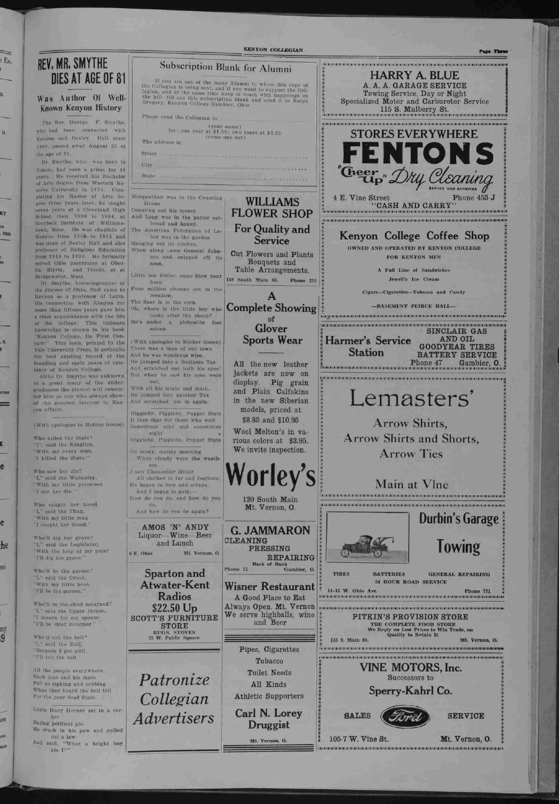## REV. MR. SMYTHE DIES AT AGE OF 81

ι Eη.

b.

D.

KY re Ohie

 $\overline{\mathbf{5}}$ 

ernon ═

e

e

he

165

mp  $\boldsymbol{9}$ 

 $_{01}$ 

noz me

#### Was Author Of Well Known Kenyon History

The Rev. George F. Smythe, who had been connected with Kenyon and Bexley Hall since 1900, passed away August 25 at the age of 81.

Dr. Smythe, historiographer of the diocese of Ohio, first came to Kenyon as a professor of Latin. His connection with Kenyon for more than fifteen years gave him <sup>a</sup> close acquaintance with the life of the college. This intimate knowledge is shown in his book ' Kenyon College, Its First Century." This book, printed by the Yale University Press, is perhaphs the best existing record of the founding and early years of existance of Kenyon College.

Dr. Smythe, who was born in Toledo, had been a priest for 48 years. He received his Bachelor of Arts degree from Western Reserve University in 1874. Completing his Master of Arts degree three years later, he taught seven years at a Cleveland High School, then, 1SS0 to 1884, at Greylock Institute of Williamstown, Mass. He was chaplain of Kenyon from 1900-to 1915 and was dean of Bexley Hall and also professor of Religious Education from 191S to 1920. He formerly served Ohio pastorates at Ober-Elyria, and Toledo, at at Bridgewater, Mass.

Altho Dr. Smythe was unknown to a great many of the undergraduates the alumni will remember him as one who always showed the greatest interest in Kenvon affairs.

Who killed the State? "I", said the Kingfish, "With my every wish, "I killed the State."

Street City State:

(With apologies to Mother Goose)

And Long was in the parlor eatbread and honey. The American Federation of Labor was in the garden

Who saw her die? "I," said the Walmsley, "With my little pince-nez "I saw her die."

Who caught her blood "I," said the Thug, "With my little mug "I caught her blood."

Who'll dig her grave? "I," said the Legislator, "With the help of my pater "I'll dig her grave."

With all his might and main, He jumped into another Tax And scratched 'em in again. Higgleby, Piggleby, Puppet State It lays eggs for those who wait Sometimes nine and sometimes

Who'll be the parson? "I," said the Crook, "With my little book "I'll be the parson."

The address is:

Morganthau was in the Counting

House

Counting out his money.

Hanging out its clothes,

When along came General Johnson and snipped off its

nose.

Little boy Hitler, come blow your

horn

Four million citizens are in the

meadow, The Saar is in the corn.

looks after the sheep? He's under a plebescite fast

asleep.

(With apologies to Mother Goose) There was a man of our town And he was wondrous wise. He jumped into a Business Tax And scratched out both his eyes! But when he saw his eyes were

out,

eight

Higgleby, Piggleby, Puppet State

On misty, moisty morning When cloudy were the weath-

ers, <sup>I</sup> saw Chancellor Hitler

All clothed in tar and feathers; He began to bow and scrape, And I began to gain, How do you do, and how do you

do,

And how do you do again?

AMOS 'N' ANDY Liquor Wine Beer and Lunch 6 E. Ohio Mt. Vernon, O.

> Sparton and Atwater-Kent Radios



Who'll be the chief mourned? "I," said the Upper House, "I mourn for my spouse "I'll be chief mourner." Who'll toll the bell? "I," said the Bull, "Because I got pull. "I'll toll the bell." All the people everywhere, Each man and his mate Fell to sighing and sobbing When they heard the bell toll For the poor dead State. Little Huey Horner sat In a corner Eating political pie. He stuck in his paw and pulled out a law And said, "What a bright boy am I!" \$22.50 Up SCOTT'S FURNITURE STORE RUGS, STOVES 23 W. Public Square Patronize Collegian Advertisers Always Open. Mt. Vernon We serve highballs, wine and Beer Pipes, Cigarettes Tobacco Toilet Needs All Kinds Athletic Supporters Carl N. Lorey Druggist Mt. Vernon, O. **SALES** 105-7 W. Vine St. llllllllllllllllllIIIIIIIIIIIIIIIIIIIIIIIIIIIIIIIBIIIIIIIIIIIIIIIIIIIIIIIIMIIIIIIIIIIIIlllll!lllllllllllllllllllllllllllllllHtlllllllltlllU <sup>I</sup> PITKIN'S PROVISION STORE THE COMPLETE FOOD STORE<br>We Reply on Low Prices to Win Trade, on<br>Quality to Retain It 135 S. Main St. Main St. Main St. Main St. Main St. Main St. Main St. Main St. Main St. Main St. Main St. Main St. iiiiiiiiiiiiiiiiiiiiiiiiii!iiiiiiiiiiiiiiiiiiiiiiiiiiiiiiiiiiiiiiiiiiiiiiiiiiiiiiiiiiiiiiiiiaMiiiiiiiiiiNiiiiHiiiiiiiiniiiiiii)iiiiiiMi llandistissä lainut lihtillisten kausaa kausaa kausaa kausaa kausaa kausaa kausaa kausaa kausaa kausaa kausaa VINE MOTORS, Inc. Successors to Sperry-Kahrl Co. SERVICE Mt. Vernon, O. iiiiiiiiiiiiiiiniiiiiiiiiiiiiiiiiiiiiiiiaiiiiiiiiiiiiiiiiiiiiiiiiiiiiiiitiHiiiiiiiiiiiiitiiiiiiiiiiiniiiiitiiiiiiiitiiiiiiaiiiiiitiiiiiiiiiiiiii

A Good Place to Eat